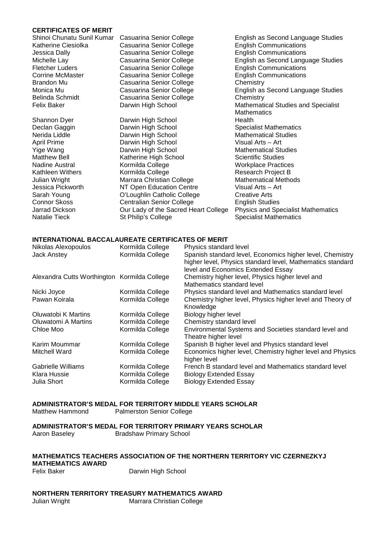#### **CERTIFICATES OF MERIT**

| Shinoi Chunatu Sunil Kun |
|--------------------------|
| Katherine Ciesiolka      |
| Jessica Dally            |
| Michelle Lay             |
| <b>Fletcher Luders</b>   |
| <b>Corrine McMaster</b>  |
| Brandon Mu               |
| Monica Mu                |
| <b>Belinda Schmidt</b>   |
| <b>Felix Baker</b>       |
|                          |

Casuarina Senior College English Communications Casuarina Senior College English Communications<br>
Casuarina Senior College English as Second Langu Casuarina Senior College<br>
Casuarina Senior College English Communications<br>
English Communications Casuarina Senior College Figlish Communications Casuarina Senior College English Communications Chemistry Casuarina Senior College<br>Casuarina Senior College Casuarina Senior College<br>Darwin High School

Shannon Dyer **Darwin High School**<br>Declan Gaggin **Darwin High School** Nerida Liddle **National Communist Communist Communist Communist Communist Communist Communist Communist Communist Communist Communist Communist Communist Communist Communist Communist Communist Communist Communist Communis Darwin High School Communist Communist Visual Arts – Art Visual Arts – Art Communist Communist Communist Communist Communist Communist Communist Communist Communist Communist Communist Communist Communist Communist Commun** Yige Wang Darwin High School Mathematical Studies Matthew Bell Katherine High School<br>Nadine Austral Kormilda College Nadine Austral **Mathelian College** Mathem Music Practices<br>
Kormilda College Mathem Research Project B Julian Wright **Marrara Christian College** Mathematical Methods<br>
Jessica Pickworth MT Open Education Centre Visual Arts – Art NT Open Education Centre Sarah Young **Called College** Creative Arts Connor Skoss Centralian Senior College<br>
Jarrad Dickson Cur Lady of the Sacred Heart College Physics and Specialist Mathematics Jarrad Dickson **Our Lady of the Sacred Heart College**<br>
Natalie Tieck **St Philip's College** 

nar Casuarina Senior College **English as Second Language Studies** English as Second Language Studies<br>English Communications English as Second Language Studies<br>Chemistry Mathematical Studies and Specialist Mathematics<br>Health Specialist Mathematics Research Project B Specialist Mathematics

#### **INTERNATIONAL BACCALAUREATE CERTIFICATES OF MERIT**

| Nikolas Alexopoulos<br><b>Jack Anstey</b>         | Kormilda College<br>Kormilda College                     | Physics standard level<br>Spanish standard level, Economics higher level, Chemistry<br>higher level, Physics standard level, Mathematics standard<br>level and Economics Extended Essay |
|---------------------------------------------------|----------------------------------------------------------|-----------------------------------------------------------------------------------------------------------------------------------------------------------------------------------------|
| Alexandra Cutts Worthington Kormilda College      |                                                          | Chemistry higher level, Physics higher level and<br>Mathematics standard level                                                                                                          |
| Nicki Joyce                                       | Kormilda College                                         | Physics standard level and Mathematics standard level                                                                                                                                   |
| Pawan Koirala                                     | Kormilda College                                         | Chemistry higher level, Physics higher level and Theory of<br>Knowledge                                                                                                                 |
| Oluwatobi K Martins                               | Kormilda College                                         | Biology higher level                                                                                                                                                                    |
| Oluwatomi A Martins                               | Kormilda College                                         | Chemistry standard level                                                                                                                                                                |
| Chloe Moo                                         | Kormilda College                                         | Environmental Systems and Societies standard level and<br>Theatre higher level                                                                                                          |
| Karim Moummar                                     | Kormilda College                                         | Spanish B higher level and Physics standard level                                                                                                                                       |
| Mitchell Ward                                     | Kormilda College                                         | Economics higher level, Chemistry higher level and Physics<br>higher level                                                                                                              |
| Gabrielle Williams<br>Klara Hussie<br>Julia Short | Kormilda College<br>Kormilda College<br>Kormilda College | French B standard level and Mathematics standard level<br><b>Biology Extended Essay</b><br><b>Biology Extended Essay</b>                                                                |

#### **ADMINISTRATOR'S MEDAL FOR TERRITORY MIDDLE YEARS SCHOLAR**

Matthew Hammond Palmerston Senior College

**ADMINISTRATOR'S MEDAL FOR TERRITORY PRIMARY YEARS SCHOLAR**

Aaron Baseley Bradshaw Primary School

### **MATHEMATICS TEACHERS ASSOCIATION OF THE NORTHERN TERRITORY VIC CZERNEZKYJ**

**MATHEMATICS AWARD** 

Darwin High School

# **NORTHERN TERRITORY TREASURY MATHEMATICS AWARD**

Marrara Christian College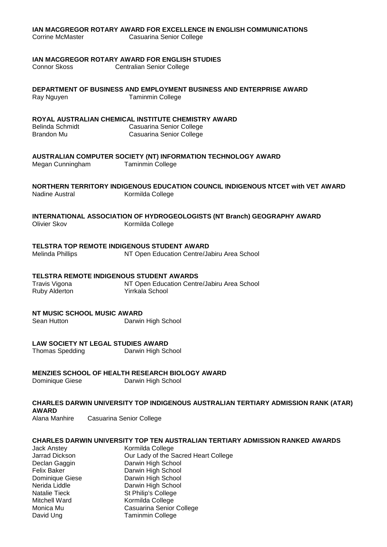#### **IAN MACGREGOR ROTARY AWARD FOR EXCELLENCE IN ENGLISH COMMUNICATIONS**

### **IAN MACGREGOR ROTARY AWARD FOR ENGLISH STUDIES**

Centralian Senior College

**DEPARTMENT OF BUSINESS AND EMPLOYMENT BUSINESS AND ENTERPRISE AWARD**

Ray Nguyen Taminmin College

### **ROYAL AUSTRALIAN CHEMICAL INSTITUTE CHEMISTRY AWARD**

| Belinda Schmidt | Casuarina Senior College |
|-----------------|--------------------------|
| Brandon Mu      | Casuarina Senior College |

### **AUSTRALIAN COMPUTER SOCIETY (NT) INFORMATION TECHNOLOGY AWARD**

Megan Cunningham Taminmin College

#### **NORTHERN TERRITORY INDIGENOUS EDUCATION COUNCIL INDIGENOUS NTCET with VET AWARD** Kormilda College

# **INTERNATIONAL ASSOCIATION OF HYDROGEOLOGISTS (NT Branch) GEOGRAPHY AWARD**

Kormilda College

### **TELSTRA TOP REMOTE INDIGENOUS STUDENT AWARD**

Melinda Phillips NT Open Education Centre/Jabiru Area School

# **TELSTRA REMOTE INDIGENOUS STUDENT AWARDS**<br>Travis Vigona **MT** Open Education Centr

Ruby Alderton

NT Open Education Centre/Jabiru Area School<br>Yirrkala School

### **NT MUSIC SCHOOL MUSIC AWARD**

Sean Hutton Darwin High School

# **LAW SOCIETY NT LEGAL STUDIES AWARD<br>Thomas Spedding Darwin High School**

Thomas Spedding

### **MENZIES SCHOOL OF HEALTH RESEARCH BIOLOGY AWARD**

Dominique Giese Darwin High School

**CHARLES DARWIN UNIVERSITY TOP INDIGENOUS AUSTRALIAN TERTIARY ADMISSION RANK (ATAR) AWARD Casuarina Senior College** 

### **CHARLES DARWIN UNIVERSITY TOP TEN AUSTRALIAN TERTIARY ADMISSION RANKED AWARDS**

Jack Anstey **Kormilda College** Jarrad Dickson Our Lady of the Sacred Heart College Darwin High School Felix Baker **Darwin High School**<br>Dominique Giese **Darwin High School** Dominique Giese<br>Nerida Liddle Darwin High School Natalie Tieck St Philip's College<br>
Mitchell Ward St Rormilda College Mitchell Ward<br>
Monica Mu **Casuarina Senior**<br>
Casuarina Senior Casuarina Senior College David Ung Taminmin College